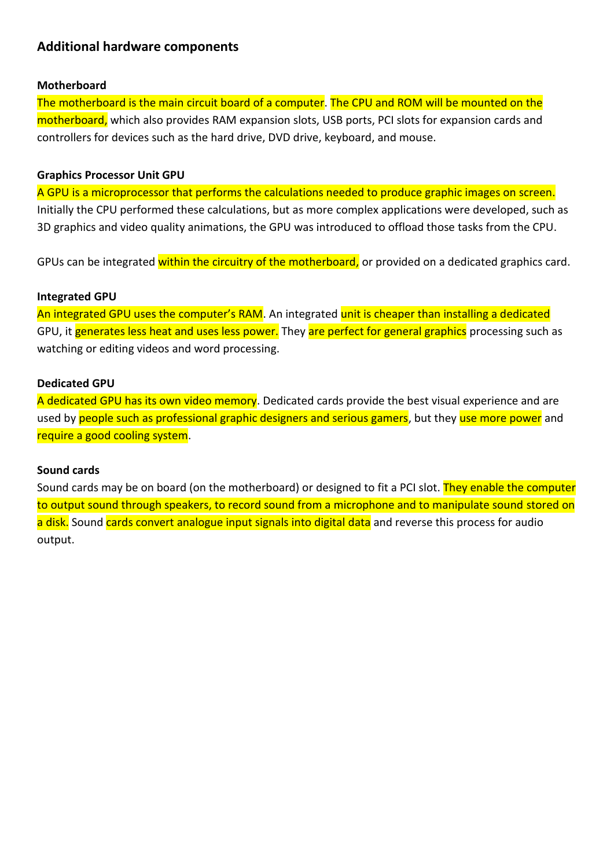# **Additional hardware components**

## **Motherboard**

The motherboard is the main [circuit board](http://techterms.com/definition/pcb) of a computer. The [CPU](http://techterms.com/definition/cpu) and [ROM](http://techterms.com/definition/rom) will be mounted on the motherboard, which also provides [RAM](http://techterms.com/definition/ram) expansion slots, [USB](http://techterms.com/definition/usb) ports, [PCI](http://techterms.com/definition/pci) slots for expansion cards and controllers for devices such as the [hard drive,](http://techterms.com/definition/harddrive) DVD drive, keyboard, and mouse.

#### **Graphics Processor Unit GPU**

A GPU is a microprocessor that performs the calculations needed to produce graphic images on screen. Initially the CPU performed these calculations, but as more complex applications were developed, such as 3D graphics and video quality animations, the GPU was introduced to offload those tasks from the CPU.

GPUs can be integrated within the circuitry of the motherboard, or provided on a dedicated graphics card.

#### **Integrated GPU**

An integrated GPU uses the computer's RAM. An integrated unit is cheaper than installing a dedicated GPU, it generates less heat and uses less power. They are perfect for general graphics processing such as watching or editing videos and word processing.

#### **Dedicated GPU**

A dedicated GPU has its own video memory. Dedicated cards provide the best visual experience and are used by people such as professional graphic designers and serious gamers, but they use more power and require a good cooling system.

## **Sound cards**

Sound cards may be on board (on the motherboard) or designed to fit a PCI slot. They enable the computer to output sound through speakers, to record sound from a microphone and to manipulate sound [stored](http://www.webopedia.com/TERM/S/store.html) on a [disk.](http://www.webopedia.com/TERM/D/disk.html) Sound cards convert analogue input signals into digital [data](http://www.webopedia.com/TERM/D/data.html) and reverse this process for audio output.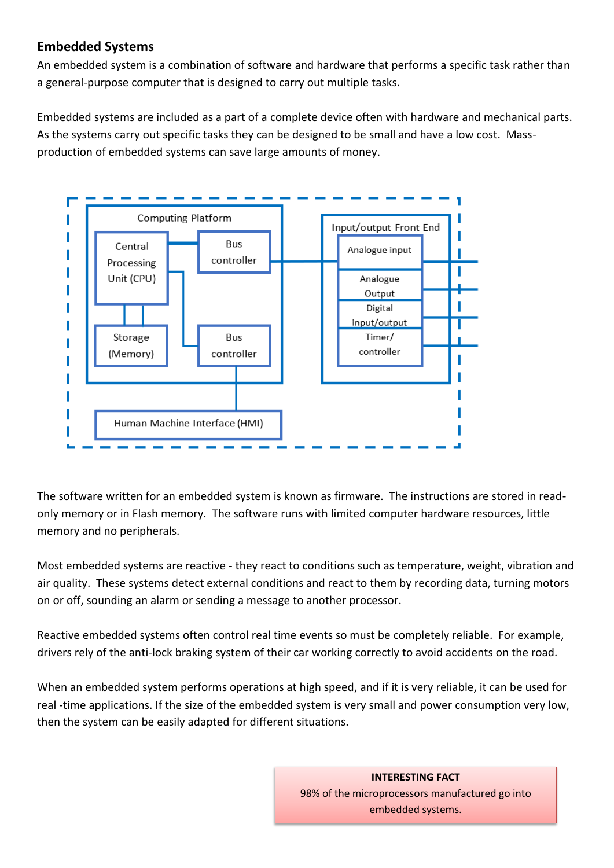# **Embedded Systems**

An embedded system is a combination of software and hardware that performs a specific task rather than a general-purpose computer that is designed to carry out multiple tasks.

Embedded systems are included as a part of a complete device often with hardware and mechanical parts. As the systems carry out specific tasks they can be designed to be small and have a low cost. Massproduction of embedded systems can save large amounts of money.



The software written for an embedded system is known as firmware. The instructions are stored in readonly memory or in Flash memory. The software runs with limited computer hardware resources, little memory and no peripherals.

Most embedded systems are reactive - they react to conditions such as temperature, weight, vibration and air quality. These systems detect external conditions and react to them by recording data, turning motors on or off, sounding an alarm or sending a message to another processor.

Reactive embedded systems often control real time events so must be completely reliable. For example, drivers rely of the anti-lock braking system of their car working correctly to avoid accidents on the road.

When an embedded system performs operations at high speed, and if it is very reliable, it can be used for real -time applications. If the size of the embedded system is very small and power consumption very low, then the system can be easily adapted for different situations.

> **INTERESTING FACT** 98% of the microprocessors manufactured go into embedded systems.